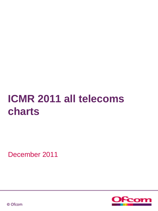# **ICMR 2011 all telecoms charts**

December 2011



© Ofcom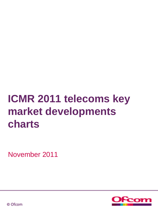# **ICMR 2011 telecoms key market developments charts**

November 2011



© Ofcom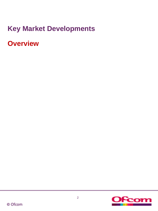## **Key Market Developments**

**Overview**

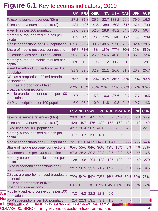## **Figure 6.1** Key telecoms indicators, 2010

|                                                        | <b>UK</b> | <b>FRA</b> | <b>GER</b> | <b>ITA</b>  | <b>USA</b> | <b>CAN</b> | <b>JPN</b> | <b>AUS</b> |
|--------------------------------------------------------|-----------|------------|------------|-------------|------------|------------|------------|------------|
| Telecoms service revenues (£bn)                        | 27.2      | 31.8       | 35.5       |             | 23.7 188.2 | 20.9       | 79.0       | 16.0       |
| Telecoms revenues per capita $(E)$                     | 434       | 486        | 435        | 389         | 608        | 615        | 624        | 739        |
| Fixed lines per 100 population                         | 53.0      | 32.9       | 52.5       | 28.9        | 48.2       | 54.3       | 36.5       | 50.4       |
| Monthly outbound fixed minutes per<br>capita           | 172       | 145        | 201        | 125         | 148        | 174        | 58         | 209        |
| Mobile connections per 100 population                  | 129.8     | 99.4       |            | 133.5 148.5 | 97.8       | 76.2       | 92.4       | 129.5      |
| Share of mobile post-pay connections                   | 46%       | 71%        | 45%        | 15%         | 77%        | 80%        | 99%        | 58%        |
| 3G connections per 100 population                      | 50.3      | 34.4       | 26.0       | 56.6        | 46.8       | 23.1       | 85.8       | 72.4       |
| Monthly outbound mobile minutes per<br>capita          | 170       | 132        | 103        | 172         | 603        | 318        | 98         | 287        |
| Fixed broadband connections per 100<br>population      | 31.3      | 32.6       | 32.9       | 21.1        | 26.6       | 31.9       | 26.9       | 25.7       |
| DSL as a proportion of fixed broadband<br>connections  | 79%       | 93%        | 86%        | 96%         | 36%        | 40%        | 25%        | 80%        |
| FTTx as a proportion of fixed<br>broadband connections | 0.2%      | 1.6%       |            | 0.3% 2.6%   | 7.1%       |            | 0.0%54.2%  | 0.0%       |
| Mobile broadband connections per 100<br>population     | 7.7       | 4.2        | 5.3        | 10.0        | 27.6       | 2.7        | 7.7        | 19.5       |
| VoIP subscriptions per 100 population                  | 6.0       | 28.9       | 10.0       | 11.8        | 9.3        | 24.6       | 19.7       | 14.3       |

|                                                                                                                                 |      | <b>ESP NED SWE</b> |      |                                     |      |      | <b>IRL POL BRA RUS</b> |                | <b>IND CHN</b> |
|---------------------------------------------------------------------------------------------------------------------------------|------|--------------------|------|-------------------------------------|------|------|------------------------|----------------|----------------|
| Telecoms service revenues (£bn)                                                                                                 | 20.0 | 8.5                | 4.3  | 2.2                                 | 5.9  |      | 34.2 18.6              | 12.1           | 65.9           |
| Telecoms revenues per capita $(E)$                                                                                              | 429  | 497                | 476  | 482                                 | 153  | 169  | 134                    | 10             | 49             |
| Fixed lines per 100 population                                                                                                  | 42.7 | 30.4               | 50.9 | 40.0                                | 22.8 | 20.8 | 32.2                   | 3.0            | 22.1           |
| Monthly outbound fixed minutes per<br>capita                                                                                    | 117  | 107                | 156  | 131                                 | 29   | 87   | 99                     | $\overline{0}$ | 11             |
| Mobile connections per 100 population 122.1121.0141.9 114.3121.4100.3155.7                                                      |      |                    |      |                                     |      |      |                        | 63.7           | 64.4           |
| Share of mobile post-pay connections                                                                                            |      |                    |      | 65% 55% 64% 36% 49% 18%             |      |      | 5%                     |                | 4% 33%         |
| 3G connections per 100 population                                                                                               | 67.3 |                    |      | 26.3 80.8 39.3                      | 40.7 | 9.3  | 5.6                    | 0.6            | 3.5            |
| Monthly outbound mobile minutes per<br>capita                                                                                   | 128  | 198                | 204  | 193                                 | 125  | 102  | 190                    | 140            | 270            |
| Fixed broadband connections per 100<br>population                                                                               | 22.7 | 38.9               |      | 33.2 21.9 14.7                      |      | 6.6  | 14.1                   | 0.9            | 9.5            |
| DSL as a proportion of fixed broadband<br>connections                                                                           |      |                    |      | 79% 54% 54% 72% 46% 67% 39% 89% 75% |      |      |                        |                |                |
| FTTx as a proportion of fixed<br>broadband connections                                                                          |      | 0.3% 3.1%          |      | 18% 0.9% 0.4% 0.0% 21% 0.0% 0.7%    |      |      |                        |                |                |
| Mobile broadband connections per 100<br>Sou<br>population                                                                       | 7.2  |                    |      | 4.2 32.2 12.3                       | 9.0  |      |                        |                |                |
| Not <sub>VoIP</sub> subscriptions per 100 population<br>inbo <del>ung אויר אוי</del> ש וווכומפא אויר איז <mark>pouloging</mark> | 2.4  | 22.3               | 13.1 | 3.1                                 | 1.8  |      |                        |                |                |

CDMA2000; BRIC country revenues exclude fixed broadband <sup>3</sup>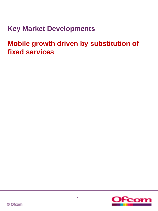## **Key Market Developments**

**Mobile growth driven by substitution of fixed services**

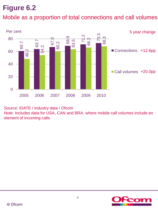Mobile as a proportion of total connections and call volumes



Source: IDATE / industry data / Ofcom

Note: Includes data for USA, CAN and BRA, where mobile call volumes include an element of incoming calls

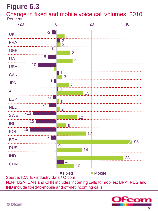Per cent Change in fixed and mobile voice call volumes, 2010



Source: IDATE / industry data / Ofcom Note: USA, CAN and CHN includes incoming calls to mobiles; BRA, RUS and IND include fixed-to-mobile and off-net incoming calls

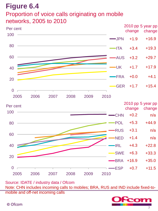### Proportion of voice calls originating on mobile networks, 2005 to 2010



Source: IDATE / industry data / Ofcom

Note: CHN includes incoming calls to mobiles; BRA, RUS and IND include fixed-tomobile and off-net incoming calls

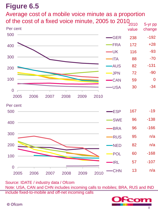# Average cost of a mobile voice minute as a proportion



Source: IDATE / industry data / Ofcom Note: USA, CAN and CHN includes incoming calls to mobiles; BRA, RUS and IND include fixed-to-mobile and off-net incoming calls

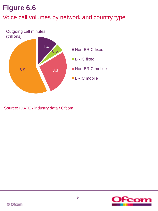### Voice call volumes by network and country type



Source: IDATE / industry data / Ofcom

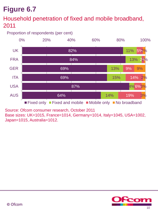### Household penetration of fixed and mobile broadband, 2011

Proportion of respondents (per cent)



Source: Ofcom consumer research, October 2011

Base sizes: UK=1015, France=1014, Germany=1014, Italy=1045, USA=1002, Japan=1015, Australia=1012.

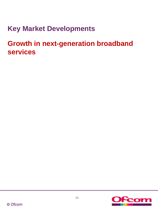## **Key Market Developments**

**Growth in next-generation broadband services**

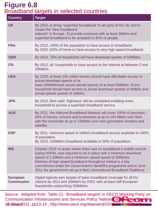### Broadband targets in selected countries **Figure 6.8**

| <b>Country</b>                       | <b>Target</b>                                                                                                                                                                                                                                                                                                                                                                                                    |
|--------------------------------------|------------------------------------------------------------------------------------------------------------------------------------------------------------------------------------------------------------------------------------------------------------------------------------------------------------------------------------------------------------------------------------------------------------------|
| <b>UK</b>                            | By 2015, to bring "superfast broadband" to all parts of the UK and to<br>create the "best broadband<br>network" in Europe. To provide everyone with at least 2Mbit/s and<br>superfast broadband to be available to 90% of people.                                                                                                                                                                                |
| <b>FRA</b>                           | By 2012, 100% of the population to have access to broadband.<br>By 2025 100% of home to have access to very high speed broadband.                                                                                                                                                                                                                                                                                |
| <b>GER</b>                           | By 2014, 75% of households will have download speeds of 50Mbit/s.                                                                                                                                                                                                                                                                                                                                                |
| <b>ITA</b>                           | By 2012, all households to have access to the Internet at between 2 and<br>20Mbit/s.                                                                                                                                                                                                                                                                                                                             |
| <b>USA</b>                           | By 2020, at least 100 million homes should have affordable access to<br>actual download speeds of at<br>least 100Mbit/sand actual upload speeds of at least 50Mbit/s. Every<br>household should have access to actual download speeds of 4Mbit/s and<br>actual upload speeds of 1Mbit/s.                                                                                                                         |
| <b>JPN</b>                           | By 2015, fibre optic 'highways' will be completed enabling every<br>household to access a superfast broadband service                                                                                                                                                                                                                                                                                            |
| <b>AUS</b>                           | By 2021, the National Broadband Network will cover 100% of premises -<br>93% of homes, schools and businesses at up to 100 Mbit/s over fibre,<br>with the remainder at up to 12Mbit/s over next generation wireless and<br>satellite.                                                                                                                                                                            |
| <b>ESP</b>                           | By 2011, minimum speed of 1Mbit/s broadband access available to 100%<br>of population.<br>By 2015, 100Mbit/s broadband available to 50% of population.                                                                                                                                                                                                                                                           |
| <b>IRE</b>                           | October 2010: in areas where there was no broadband a mobile service<br>(using HSPA), was required to be in place with a minimum download<br>speed of 1.2Mbit/s and a minimum upload speed of 200kbit/s.<br>Delivery of high speed broadband throughout Ireland is a key<br>commitment under the Government's NewERA programme and in June<br>2011 the government set up a Next Generational Broadband Taskforce |
| <b>European</b><br><b>Commission</b> | Digital Agenda sets targets of basic broadband coverage for all EU<br>citizens by 2013 and 30Mbit/s by 2020, with at least half European<br>households subscribing 100Mbit/s.                                                                                                                                                                                                                                    |

Source: Adapted from Table 21: 'Broadband targets' in OECD Working Party on Communication Infrastructures and Services Policy 'National Broadband Plans', Plans 15 June 2011, pp13-14, http://www.oecd.org/dataoecd/22/41/484591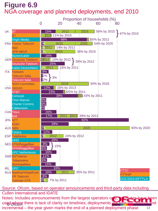### **Figure 6.9** NGA coverage and planned deployments, end 2010



Source: Ofcom, based on operator announcements and third-party data including Cullen International and IDATE

13 Notes: Includes announcements from the largest operators only; a timates have been used where there is lack of clarity on timelines; deployments are typically gradual and incremental – the year given marks the end of a planned deployment phase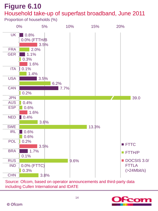### **Figure 6.10** Household take-up of superfast broadband, June 2011

Proportion of households (%)



Source: Ofcom, based on operator announcements and third-party data including Cullen International and IDATE

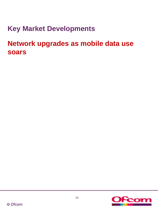**Key Market Developments**

**Network upgrades as mobile data use soars**

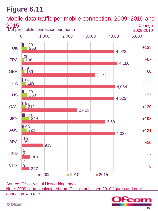

Source: Cisco Visual Networking Index Note: 2009 figures calculated from Cisco's published 2010 figures and prior annual growth rate



© Ofcom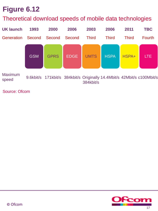### Theoretical download speeds of mobile data technologies



Source: Ofcom

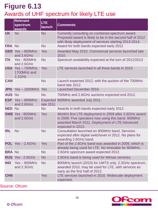## **Figure 6.13** Awards of UHF spectrum for likely LTE use

|               | <b>Relevant</b><br>spectrum<br>awards       | LTE.<br>launch | <b>Comments</b>                                                                                                                                                                       |
|---------------|---------------------------------------------|----------------|---------------------------------------------------------------------------------------------------------------------------------------------------------------------------------------|
| <b>UK</b>     | <b>No</b>                                   | <b>No</b>      | Currently consulting on combined spectrum award.<br>Proposed award is likely to be in the second half of 2012<br>with likely deployment of services starting 2013-2014.               |
| <b>FRA No</b> |                                             | <b>No</b>      | Award for both bands expected early 2012                                                                                                                                              |
|               | <b>GER</b> Yes - 800MHz<br>and 2.6GHz       | <b>Yes</b>     | Awarded May 2010. Commercial services launched late<br>2010.                                                                                                                          |
| <b>ITA</b>    | Yes - 800MHz<br>and 2.6GHz                  | <b>No</b>      | Spectrum availability expected at the turn of 2012/2013                                                                                                                               |
|               | USA Yes-700MHz,<br>1700MHz and<br>$2.1$ GHz | <b>Yes</b>     | LTE services launched in all three bands in 2010                                                                                                                                      |
| <b>CAN</b>    |                                             | <b>No</b>      | Launch expected 2012, with the auction of the 700MHz<br>band late 2012.                                                                                                               |
|               | JPN Yes-1500MHz Yes                         |                | Launched December 2010.                                                                                                                                                               |
| <b>AUS No</b> |                                             | <b>No</b>      | 700MHz and 2.6GHz auctions expected end 2012.                                                                                                                                         |
|               | <b>ESP</b> Yes - 800MHz<br>and 2.6GHz       | late 2011      | Expected 800MHz awarded July 2011.                                                                                                                                                    |
| <b>NED No</b> |                                             | <b>No</b>      | Awards in both bands expected early 2012.                                                                                                                                             |
|               | <b>SWE Yes - 800MHz</b><br>and 2.6GHz       | <b>Yes</b>     | World's first LTE deployment in 2009 after 2.6GHz award<br>in 2008. Five operators now using this band. 800MHz<br>awarded March 2011. Deployment of LTE Advanced<br>expected in 2013. |
| <b>IRL</b>    | <b>No</b>                                   | <b>No</b>      | Consultation launched on 800MHz band. Services<br>expected after digital switchover in 2012. No plans for<br>awarding 2.6GHz band.                                                    |
|               | <b>POL</b> $Yes - 2.6GHz$                   | <b>Yes</b>     | Part of the 2.6GHz band was awarded in 2009, which is<br>already being used for LTE. No timetable for 800MHz.                                                                         |
| <b>BRA No</b> |                                             | <b>No</b>      | 2.6GHz spectrum award expected 2012.                                                                                                                                                  |
|               | RUS Yes - 2.6GHz                            | <b>No</b>      | 2.6GHz band is being used for Wimax services.                                                                                                                                         |
| <b>IND</b>    | $Yes - 800MHz$<br>and 2.3GHz                | <b>No</b>      | 800MHz launch (2010) for UMTS only. 2.3GHz spectrum,<br>awarded 2010, may be used for LTE, with services as<br>early as the first half of 2012.                                       |
| <b>CHN</b>    |                                             | <b>Yes</b>     | LTE services launched in 2010. Widescale deployment<br>expected.                                                                                                                      |

Source: Ofcom

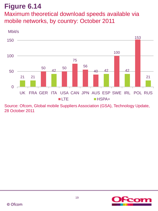Maximum theoretical download speeds available via mobile networks, by country: October 2011



Source: Ofcom, Global mobile Suppliers Association (GSA), Technology Update, 28 October 2011

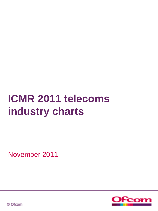# **ICMR 2011 telecoms industry charts**

November 2011



© Ofcom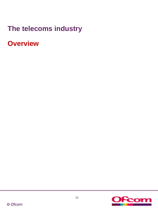## **The telecoms industry**

**Overview**

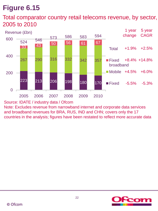Total comparator country retail telecoms revenue, by sector, 2005 to 2010



Source: IDATE / industry data / Ofcom

Note: Excludes revenue from narrowband internet and corporate data services and broadband revenues for BRA, RUS, IND and CHN; covers only the 17 countries in the analysis; figures have been restated to reflect more accurate data

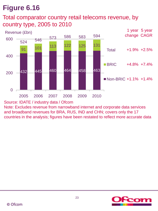### Total comparator country retail telecoms revenue, by country type, 2005 to 2010



#### Source: IDATE / industry data / Ofcom

Note: Excludes revenue from narrowband internet and corporate data services and broadband revenues for BRA, RUS, IND and CHN; covers only the 17 countries in the analysis; figures have been restated to reflect more accurate data

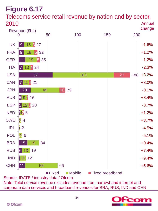Telecoms service retail revenue by nation and by sector, 2010 Annual



Source: IDATE / industry data / Ofcom Note: Total service revenue excludes revenue from narrowband internet and corporate data services and broadband revenues for BRA, RUS, IND and CHN

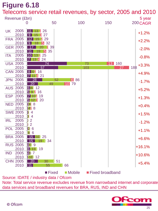Telecoms service retail revenues, by sector, 2005 and 2010

| Revenue (£bn)<br>5 year    |                                               |                                  |               |           |                              |               |  |  |
|----------------------------|-----------------------------------------------|----------------------------------|---------------|-----------|------------------------------|---------------|--|--|
|                            | O                                             | 50                               | 100           |           | 150                          | 200 CAGR      |  |  |
| 2005<br>UK<br>2010         | l 11 l<br>13.<br>2<br>9                       | 26<br>27                         |               |           |                              | $+1.2%$       |  |  |
| <b>FRA 2005</b><br>2010    | 12<br>2<br>$\overline{9}$<br>15               | 29<br>32                         |               |           |                              | $+2.2%$       |  |  |
| <b>GER 2005</b><br>2010    |                                               | 8<br>39<br>35<br> 5              |               |           |                              | $-2.0%$       |  |  |
| 2005<br><b>ITA</b><br>2010 | 24<br>Ι4                                      | 25                               |               |           |                              | $-0.8%$       |  |  |
| <b>USA 2005</b><br>2010    | 57                                            | 74                               |               | 73<br>103 | 160<br>13 <sup>1</sup><br>27 | $188 + 3.3\%$ |  |  |
| <b>CAN 2005</b><br>2010    | 16<br>862<br>21<br>4                          |                                  |               |           |                              | $+4.9%$       |  |  |
| 2005<br><b>JPN</b><br>2010 | 28<br>20                                      | 52<br>49                         | 6 86<br>10 79 |           |                              | $-1.7%$       |  |  |
| <b>AUS 2005</b><br>2010    | 661<br>12<br>16<br>$\vert 5 \vert$<br>-9<br>2 |                                  |               |           |                              | $+5.2%$       |  |  |
| <b>ESP 2005</b><br>2010    | 19<br>512320                                  |                                  |               |           |                              | $+1.3%$       |  |  |
| <b>NED 2005</b><br>2010    | $34$ 8<br>242 8                               |                                  |               |           |                              | $+0.4%$       |  |  |
| <b>SWE 2005</b><br>2010    | 室 4<br>$\mathbb{Z}$ 4                         |                                  |               |           |                              | $+1.5%$       |  |  |
| <b>IRL</b><br>2005<br>2010 | $\overline{2}$<br>Ĩ.<br>12                    |                                  |               |           |                              | $-1.2%$       |  |  |
| <b>POL 2005</b><br>2010    | 20 6<br>14 6                                  |                                  |               |           |                              | $+1.1%$       |  |  |
| <b>BRA 2005</b><br>2010    | 15<br>19                                      | <b>25</b><br>34                  |               |           |                              | $+6.6%$       |  |  |
| <b>RUS 2005</b><br>2010    | 4509<br>6 13 19                               |                                  |               |           |                              | $+16.1%$      |  |  |
| 2005<br><b>IND</b><br>2010 | 41 7<br>210012                                |                                  |               |           |                              | $+10.6%$      |  |  |
| <b>CHN 2005</b>            | 20<br>2010<br>$\blacksquare$ 11               | 30<br>51<br>55<br>$\overline{0}$ | 66            |           |                              | $+5.4%$       |  |  |

Source: IDATE / industry data / Ofcom

Note: Total service revenue excludes revenue from narrowband internet and corporate data services and broadband revenues for BRA, RUS, IND and CHN

■ Fixed Mobile Fixed broadband

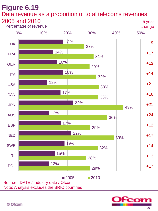#### **Figure 6.19** Data revenue as a proportion of total telecoms revenues, 2005 and 2010 5 year

Percentage of revenue



Source: IDATE / industry data / Ofcom Note: Analysis excludes the BRIC countries

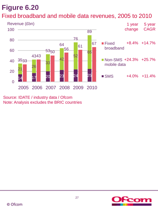### Fixed broadband and mobile data revenues, 2005 to 2010



Source: IDATE / industry data / Ofcom Note: Analysis excludes the BRIC countries

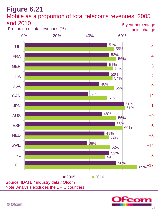#### **Figure 6.21** Mobile as a proportion of total telecoms revenues, 2005 and 2010 5 year percentage



Source: IDATE / industry data / Ofcom Note: Analysis excludes the BRIC countries

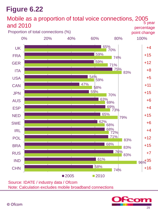

Source: IDATE / industry data / Ofcom Note: Calculation excludes mobile broadband connections

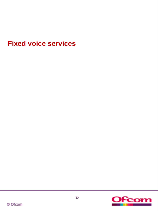## **Fixed voice services**

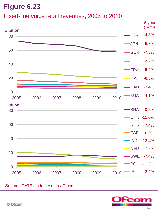### Fixed-line voice retail revenues, 2005 to 2010



#### Source: IDATE / industry data / Ofcom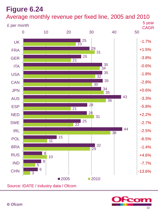Average monthly revenue per fixed line, 2005 and 2010



Source: IDATE / industry data / Ofcom

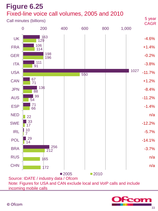

incoming mobile calls



© Ofcom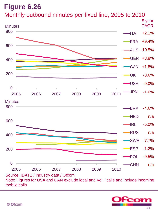



Note: Figures for USA and CAN exclude local and VoIP calls and include incoming mobile calls

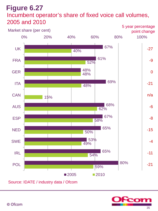### **Figure 6.27** Incumbent operator's share of fixed voice call volumes, 2005 and 2010



Source: IDATE / industry data / Ofcom

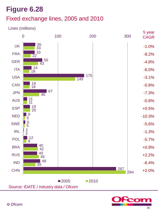#### Fixed exchange lines, 2005 and 2010

#### Lines (millions)



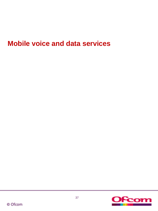## **Mobile voice and data services**

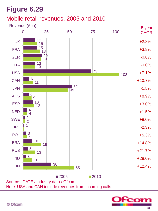#### Mobile retail revenues, 2005 and 2010

Revenue (£bn)



Source: IDATE / industry data / Ofcom Note: USA and CAN include revenues from incoming calls

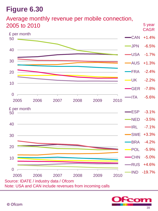Average monthly revenue per mobile connection, 2005 to 2010





5 year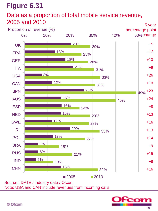#### Data as a proportion of total mobile service revenue, 2005 and 2010



Note: USA and CAN include revenues from incoming calls

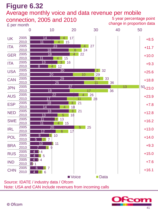#### Average monthly voice and data revenue per mobile



Note: USA and CAN include revenues from incoming calls

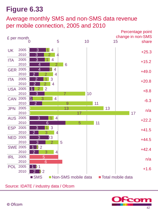#### Average monthly SMS and non-SMS data revenue per mobile connection, 2005 and 2010



Source: IDATE / industry data / Ofcom

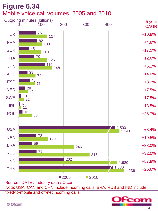## **Figure 6.34** Mobile voice call volumes, 2005 and 2010



Source: IDATE / industry data / Ofcom

Note: USA, CAN and CHN include incoming calls; BRA, RUS and IND include

fixed-to-mobile and off-net incoming calls

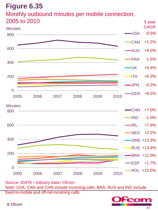#### Monthly outbound minutes per mobile connection, 2005 to 2010



Source: IDATE / industry data / Ofcom Note: USA, CAN and CHN include incoming calls; BRA, RUS and IND include fixed-to-mobile and off-net incoming calls

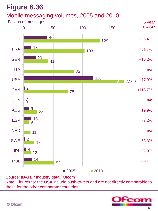#### Mobile messaging volumes, 2005 and 2010



Source: IDATE / industry data / Ofcom Note: Figures for the USA include push-to-text and are not directly comparable to those for the other comparator countries

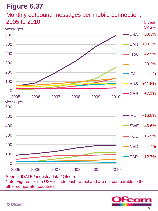Monthly outbound messages per mobile connection, 2005 to 2010



Source: IDATE / industry data / Ofcom Note: Figures for the USA include push-to-text and are not comparable to the other comparator countries

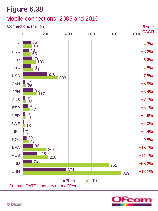### Mobile connections, 2005 and 2010

#### Connections (million)



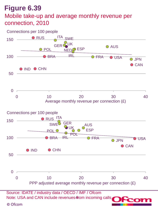## **Figure 6.39** Mobile take-up and average monthly revenue per connection, 2010

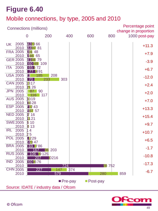#### Mobile connections, by type, 2005 and 2010

| Percentage point<br><b>Connections (millions)</b><br>change in proportion |                         |                                |            |            |     |       |     |               |  |  |
|---------------------------------------------------------------------------|-------------------------|--------------------------------|------------|------------|-----|-------|-----|---------------|--|--|
|                                                                           |                         | 0                              | 200        | 400        | 600 |       | 800 | 1000 post-pay |  |  |
| UK.                                                                       | 2005<br>2010            | 432366<br>443781               |            |            |     |       |     | $+11.3$       |  |  |
|                                                                           | <b>FRA 2005</b><br>2010 | 8148<br><b>946</b><br>65       |            |            |     |       |     | $+7.9$        |  |  |
|                                                                           | <b>GER 2005</b><br>2010 | 4138 79<br><b>60 49</b><br>109 |            |            |     |       |     | $-3.9$        |  |  |
| <b>ITA</b>                                                                | 2005<br>2010            | 65 6 72<br>■491                |            |            |     |       |     | $+6.7$        |  |  |
|                                                                           | <b>USA 2005</b><br>2010 | 23<br>185<br>70.               | 208<br>233 | 303        |     |       |     | $-12.0$       |  |  |
|                                                                           | <b>CAN 2005</b><br>2010 | 1317<br>21 26                  |            |            |     |       |     | $+2.4$        |  |  |
|                                                                           | <b>JPN 2005</b><br>2010 | 87<br>90<br>116                | 117        |            |     |       |     | $+2.0$        |  |  |
|                                                                           | <b>AUS 2005</b><br>2010 | 1019<br>1628                   |            |            |     |       |     | $+7.0$        |  |  |
|                                                                           | <b>ESP 2005</b><br>2010 | 222 43<br>2037 57              |            |            |     |       |     | $+13.3$       |  |  |
|                                                                           | <b>NED 2005</b><br>2010 | 716<br>1121                    |            |            |     |       |     | $+15.4$       |  |  |
|                                                                           | <b>SWE 2005</b><br>2010 | 510<br>8 1 3                   |            |            |     |       |     | $+9.7$        |  |  |
| <b>IRL</b>                                                                | 2005<br>2010            | 14<br>25                       |            |            |     |       |     | $+10.7$       |  |  |
|                                                                           | <b>POL 2005</b><br>2010 | <b>7229</b><br>22347           |            |            |     |       |     | $+6.5$        |  |  |
|                                                                           | <b>BRA 2005</b><br>2010 | 69 786<br>167                  | 203<br>136 |            |     |       |     | $-1.7$        |  |  |
|                                                                           | <b>RUS 2005</b><br>2010 | 106<br>9125<br>207             | 0216       |            |     |       |     | $-10.8$       |  |  |
| <b>IND</b>                                                                | 2005<br>2010            | 60 676                         |            | <u>724</u> |     | 28752 |     | $-17.3$       |  |  |
|                                                                           | <b>CHN 2005</b><br>2010 | 227                            | 147<br>579 | 374        |     | 280   | 859 | $-6.7$        |  |  |
| $\blacksquare$ Pre-pay<br><b>Post-pay</b>                                 |                         |                                |            |            |     |       |     |               |  |  |
| Source: IDATE / industry data / Ofcom                                     |                         |                                |            |            |     |       |     |               |  |  |

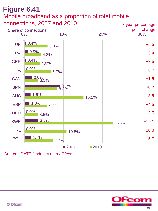### **Figure 6.41** Mobile broadband as a proportion of total mobile connections, 2007 and 2010



Source: IDATE / industry data / Ofcom

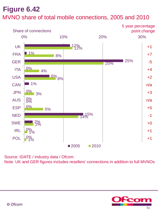# **Figure 6.42** MVNO share of total mobile connections, 2005 and 2010



Source: IDATE / industry data / Ofcom Note: UK and GER figures includes resellers' connections in addition to full MVNOs

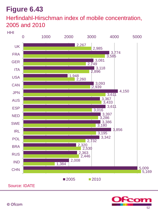### Herfindahl-Hirschman index of mobile concentration, 2005 and 2010

#### HHI



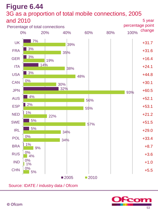#### **Figure 6.44** 3G as a proportion of total mobile connections, 2005 and 2010 5 year



Source: IDATE / industry data / Ofcom

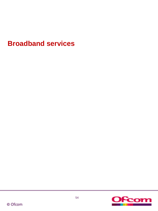## **Broadband services**

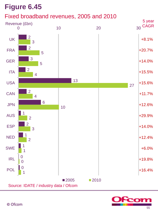#### Fixed broadband revenues, 2005 and 2010



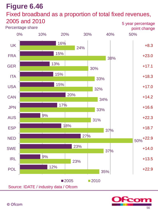#### Fixed broadband as a proportion of total fixed revenues, 2005 and 2010



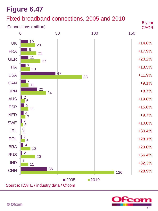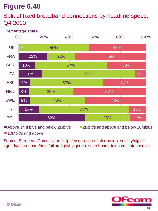#### Split of fixed broadband connections by headline speed, Q4 2010

#### Percentage share



■ Above 144kbit/s and below 2Mbit/s 2Mbit/s and above and below 10Mbit/s

■10Mbit/s and above

Source: European Commission, http://ec.europa.eu/information\_society/digitalagenda/scoreboard/docs/pillar/digital\_agenda\_scoreboard\_telecom\_database.xls

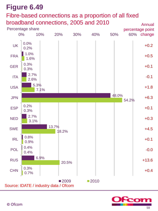#### Fibre-based connections as a proportion of all fixed broadband connections, 2005 and 2010



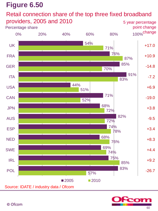#### Retail connection share of the top three fixed broadband providers, 2005 and 2010



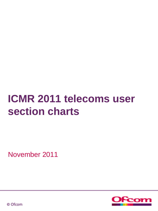# **ICMR 2011 telecoms user section charts**

November 2011



© Ofcom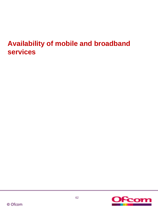## **Availability of mobile and broadband services**

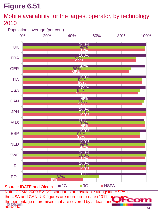#### Mobile availability for the largest operator, by technology: 2010

#### Population coverage (per cent)



63 Note: CDMA 2000 EV-DO standards are available alongside HSPA in the USA and CAN. UK figures are more up-to-date (2011) and the percentage of premises that are covered by at least one network.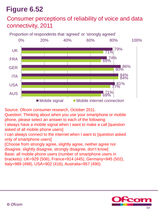#### Consumer perceptions of reliability of voice and data connectivity, 2011

79% 74% 86% 84% 81%  $1\%$ 71% 69% 80% 84% 77% 69% 0% 20% 40% 60% 80% 100% UK FRA GER ITA USA AUS Mobile signal Mobile internet connection Proportion of respondents that 'agreed' or 'strongly agreed'

Source: Ofcom consumer research, October 2011.

Question: Thinking about when you use your smartphone or mobile phone, please select an answer to each of the following:

I always have a mobile signal when I want to make a call [question asked of all mobile phone users]

I can always connect to the internet when I want to [question asked only of smartphone users]

[Choose from strongly agree, slightly agree, neither agree nor disagree, slightly disagree, strongly disagree, don't know] Base: all mobile phone users (number of smartphone users in brackets): UK=929 (506), France=914 (445), Germany=945 (502), Italy=989 (498), USA=902 (416), Australia=957 (490).

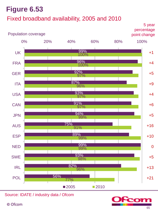## Fixed broadband availability, 2005 and 2010



Source: IDATE / industry data / Ofcom

© Ofcom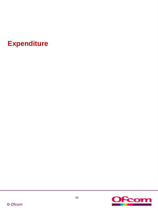**Expenditure**

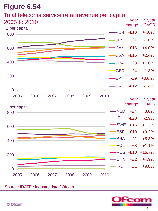#### Total telecoms service retail revenue per capita,

| 2005 to 2010   | £ per capita |      |      |      |      |      |                | 1 year<br>change | 5 year<br><b>CAGR</b> |
|----------------|--------------|------|------|------|------|------|----------------|------------------|-----------------------|
| 800            |              |      |      |      |      |      | AUS            | $+£16$           | $+4.0%$               |
|                |              |      |      |      |      |      | <b>JPN</b>     | $+£1$            | $-1.6%$               |
| 600            |              |      |      |      |      |      | <b>CAN</b>     | $+£13$           | $+4.0%$               |
|                |              |      |      |      |      |      | <b>-USA</b>    | $+£15$           | $+2.4%$               |
| 400            |              |      |      |      |      |      | <b>FRA</b>     | $+£3$            | $+1.6%$               |
|                |              |      |      |      |      |      | <b>GER</b>     | $-E4$            | $-1.8%$               |
| 200            |              |      |      |      |      |      | $-\cup$ K      | $-E9$            | $+0.6%$               |
| $\overline{0}$ |              |      |      |      |      |      | $\blacksquare$ | $-E12$           | $-1.4%$               |
|                | 2005         | 2006 | 2007 | 2008 | 2009 | 2010 |                | 1 year<br>change | 5 year<br><b>CAGR</b> |
| 800            | £ per capita |      |      |      |      |      | $\neg$ NED     | $+£4$            | 0.0%                  |
|                |              |      |      |      |      |      | $-IRL$         | $-E28$           | $-2.9%$               |
| 600            |              |      |      |      |      |      |                | $-SWE +£16$      | $+1.3%$               |
|                |              |      |      |      |      |      | <b>ESP</b>     | $-E19$           | $+0.2%$               |
| 400            |              |      |      |      |      |      | <b>BRA</b>     | $-E1$            | $+5.3%$               |
|                |              |      |      |      |      |      | POL            | $-E8$            | $+1.1%$               |
| 200            |              |      |      |      |      |      |                | RUS +£10         | $+16.7%$              |
|                |              |      |      |      |      |      | $-CHN$         | $+£2$            | $+4.9%$               |
| $\overline{0}$ |              |      |      |      |      |      | -IND           | $+£1$            | $+9.0%$               |
|                | 2005         | 2006 | 2007 | 2008 | 2009 | 2010 |                |                  |                       |

Source: IDATE / industry data / Ofcom

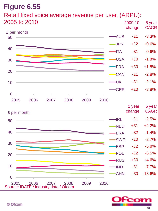# Retail fixed voice average revenue per user, (ARPU):



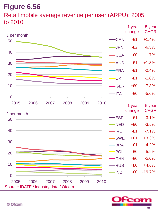#### Retail mobile average revenue per user (ARPU): 2005 to 2010



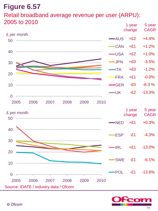#### Retail broadband average revenue per user (ARPU): 2005 to 2010



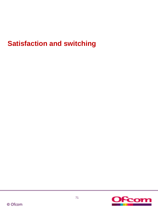## **Satisfaction and switching**

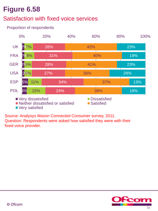## Satisfaction with fixed voice services

#### Proportion of respondents



Source: Analysys Mason Connected Consumer survey, 2011. Question: Respondents were asked how satisfied they were with their fixed voice provider.

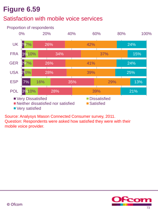## Satisfaction with mobile voice services

#### 2% 7% 3% 10% 2%7% 2% 6% 7% 3% 10% 16% 26% 34% 26% 28% 35% 28% 42% 37% 41% 39% 29% 39% 24% 15% 24% 25% 13% 21% 0% 20% 40% 60% 80% 100% UK FRA GER USA ESP POL Proportion of respondents ■ Very Dissatisfied Dissatisfied ■ Neither dissatisfied nor satisfied ■ Satisfied **Very satisfied**

Source: Analysys Mason Connected Consumer survey, 2011. Question: Respondents were asked how satisfied they were with their mobile voice provider.

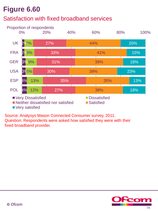## Satisfaction with fixed broadband services



Source: Analysys Mason Connected Consumer survey, 2011. Question: Respondents were asked how satisfied they were with their fixed broadband provider.

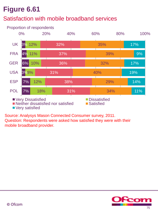## Satisfaction with mobile broadband services



Source: Analysys Mason Connected Consumer survey, 2011. Question: Respondents were asked how satisfied they were with their mobile broadband provider.

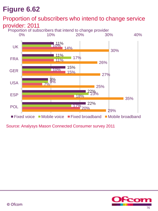#### Proportion of subscribers who intend to change service provider: 2011

Proportion of subscribers that intend to change provider



Source: Analysys Mason Connected Consumer survey 2011

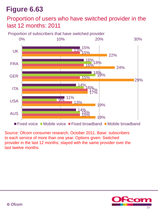#### Proportion of users who have switched provider in the last 12 months: 2011

Proportion of subscribers that have switched provider



 $\blacksquare$  Fixed voice  $\blacksquare$  Mobile voice  $\blacksquare$  Fixed broadband  $\blacksquare$  Mobile broadband

Source: Ofcom consumer research, October 2011. Base: subscribers to each service of more than one year. Options given: Switched provider in the last 12 months; stayed with the same provider over the last twelve months.

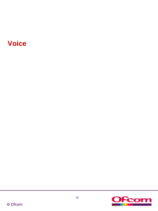## **Voice**

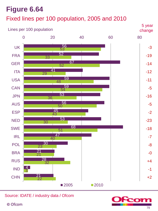# **Figure 6.64** Fixed lines per 100 population, 2005 and 2010



Source: IDATE / industry data / Ofcom

© Ofcom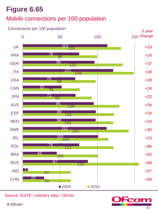## Mobile connections per 100 population

#### 113 76 96 121 70 52 71 95 98 98 112 131 99 133 148 98 76 92 129 122 121 142 0 50 100 150 UK FRA GER ITA USA **CAN JPN** AUS ESP NED SWE Connections per 100 population 150 change



Source: IDATE / industry data / Ofcom

© Ofcom



+18

5 year

+24

+37

+28

+28

+24

+22

+34

+24

+23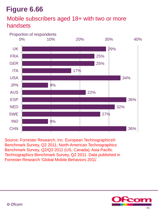### Mobile subscribers aged 18+ with two or more handsets

#### Proportion of respondents



Source: Forrester Research, Inc. European Technographics® Benchmark Survey, Q2 2011; North American Technographics Benchmark Survey, Q2/Q3 2011 (US, Canada); Asia Pacific Technographics Benchmark Survey, Q2 2011. Data published in Forrester Research 'Global Mobile Behaviors 2011'.

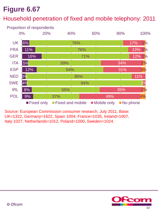## Household penetration of fixed and mobile telephony: 2011



Source: European Commission consumer research, July 2011. Base: UK=1322, Germany=1622, Spain 1004, France=1035, Ireland=1007, Italy 1027, Netherlands=1012, Poland=1000, Sweden=1024.

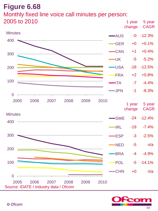## **Figure 6.68** Monthly fixed line voice call minutes per person: **2005 to 2010 5 year** 5 year 5 year 5 year 5 year 5 year 5 year 5 year 5 year 5 year 5 year 5 year



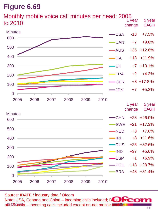

Source: IDATE / industry data / Ofcom Note: USA, Canada and China – incoming calls included; Brazil and Russia – incoming calls included except on-net mobile-mobile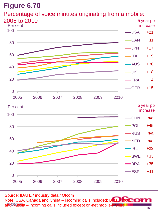## Percentage of voice minutes originating from a mobile:



Source: IDATE / industry data / Ofcom Note: USA, Canada and China – incoming calls included; Brazil and Russia – incoming calls included except on-net mobile-mobile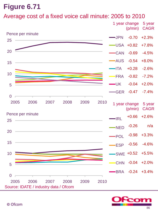#### Average cost of a fixed voice call minute: 2005 to 2010



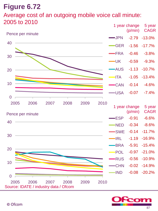## Average cost of an outgoing mobile voice call minute:  $2005$  to  $2010$  and  $\frac{1}{2005}$  year change  $\frac{5}{200}$  year



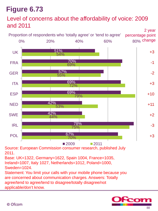## Level of concerns about the affordability of voice: 2009 and 2011



Source: European Commission consumer research, published July 2011.

Base: UK=1322, Germany=1622, Spain 1004, France=1035, Ireland=1007, Italy 1027, Netherlands=1012, Poland=1000, Sweden=1024.

Statement: You limit your calls with your mobile phone because you are concerned about communication charges. Answers: Totally agree/tend to agree/tend to disagree/totally disagree/not applicable/don't know.

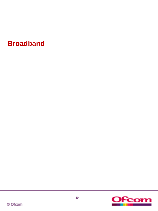## **Broadband**

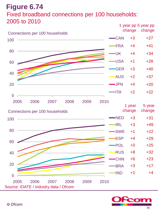## **Figure 6.74** Fixed broadband connections per 100 households: 2005 to 2010



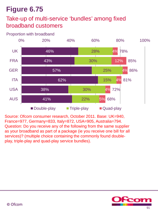## Take-up of multi-service 'bundles' among fixed broadband customers

Proportion with broadband



Source: Ofcom consumer research, October 2011. Base: UK=940, France=977, Germany=833, Italy=872, USA=905, Australia=794. Question: Do you receive any of the following from the same supplier as your broadband as part of a package (ie you receive one bill for all services)? (multiple choice containing the commonly found doubleplay, triple-play and quad-play service bundles).

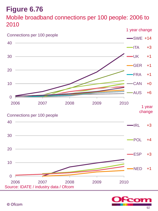## **Figure 6.76** Mobile broadband connections per 100 people: 2006 to 2010



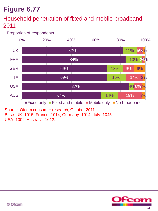### Household penetration of fixed and mobile broadband: 2011

Proportion of respondents



Source: Ofcom consumer research, October 2011. Base: UK=1015, France=1014, Germany=1014, Italy=1045, USA=1002, Australia=1012.

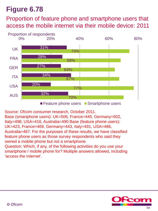## Proportion of feature phone and smartphone users that access the mobile internet via their mobile device: 2011



Source: Ofcom consumer research, October 2011.

Base (smartphone users): UK=506, France=445, Germany=502, Italy=498, USA=416, Australia=490 Base (feature phone users): UK=423, France=469, Germany=443, Italy=491, USA=486, Australia=467. For the purposes of these results, we have classified feature phone users as those survey respondents who said they owned a mobile phone but not a smartphone.

Question: Which, if any, of the following activities do you use your smartphone / mobile phone for? Multiple answers allowed, including 'access the internet'.

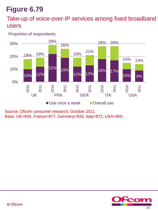#### Take-up of voice-over-IP services among fixed broadband users

Proportion of respondents



Source: Ofcom consumer research, October 2011. Base: UK=940, France=977, Germany=833, Italy=872, USA=905.

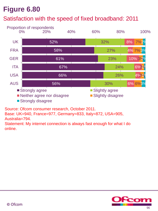## Satisfaction with the speed of fixed broadband: 2011



Source: Ofcom consumer research, October 2011.

Base: UK=940, France=977, Germany=833, Italy=872, USA=905, Australia=794.

Statement: My internet connection is always fast enough for what I do online.

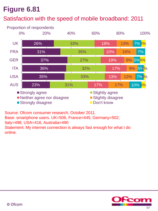## Satisfaction with the speed of mobile broadband: 2011



Source: Ofcom consumer research, October 2011.

Base: smartphone users. UK=506, France=445; Germany=502;

Italy=498, USA=416, Australia=490

Statement: My internet connection is always fast enough for what I do online.

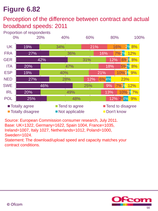## Perception of the difference between contract and actual broadband speeds: 2011

19% 27% 42% 20% 19% 27% 46% 20% 25% 34% 36% 31% 47% 40% 28% 25% 49% 48% 21% 16% 12% 18% 21% 12% 9% 13% 12% 2%% 9% 16% 7%<mark>2%</mark> 12% 6% <mark>%8%</mark> 5%<mark>2%</mark>8% 10%1<mark>%9%</mark> 6% 4% 7%1<mark>% 12%</mark> 10%1<mark>%7%</mark> 2% 8% 23% 0% 20% 40% 60% 80% 100% UK FRA GER ITA **ESP** NED SWE IRL POL ■ Totally agree Tend to agree Tend to disagree ■ Totally disagree Not applicable ■ Don't know Proportion of respondents

Source: European Commission consumer research, July 2011. Base: UK=1322, Germany=1622, Spain 1004, France=1035, Ireland=1007, Italy 1027, Netherlands=1012, Poland=1000, Sweden=1024.

Statement: The download/upload speed and capacity matches your contract conditions.

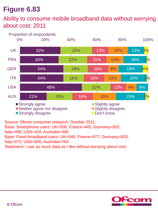## Ability to consume mobile broadband data without worrying about cost: 2011



Source: Ofcom consumer research, October 2011. Base: Smartphone users: UK=506, France=445; Germany=502; Italy=498, USA=416, Australia=490 Base: Fixed broadband users: UK=940, France=977, Germany=833, Italy=872, USA=905, Australia=794. Statement: I use as much data as I like without worrying about cost.



3%

 $1\%$ 

1%

 $2\%$ 

4%